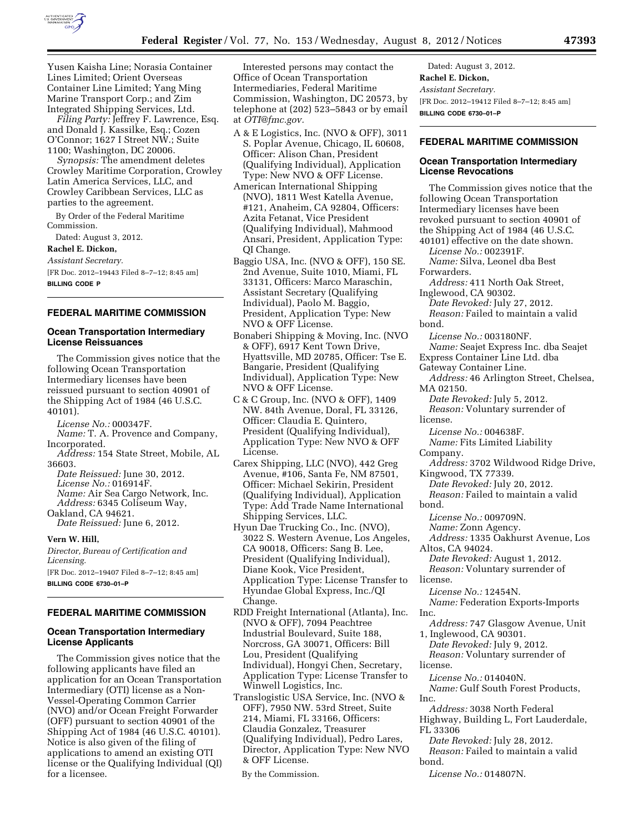

Yusen Kaisha Line; Norasia Container Lines Limited; Orient Overseas Container Line Limited; Yang Ming Marine Transport Corp.; and Zim Integrated Shipping Services, Ltd.

*Filing Party:* Jeffrey F. Lawrence, Esq. and Donald J. Kassilke, Esq.; Cozen O'Connor; 1627 I Street NW.; Suite 1100; Washington, DC 20006.

*Synopsis:* The amendment deletes Crowley Maritime Corporation, Crowley Latin America Services, LLC, and Crowley Caribbean Services, LLC as parties to the agreement.

By Order of the Federal Maritime Commission.

Dated: August 3, 2012.

# **Rachel E. Dickon,**

*Assistant Secretary.* 

[FR Doc. 2012–19443 Filed 8–7–12; 8:45 am] **BILLING CODE P** 

#### **FEDERAL MARITIME COMMISSION**

#### **Ocean Transportation Intermediary License Reissuances**

The Commission gives notice that the following Ocean Transportation Intermediary licenses have been reissued pursuant to section 40901 of the Shipping Act of 1984 (46 U.S.C. 40101).

*License No.:* 000347F. *Name:* T. A. Provence and Company, Incorporated.

*Address:* 154 State Street, Mobile, AL 36603.

*Date Reissued:* June 30, 2012. *License No.:* 016914F. *Name:* Air Sea Cargo Network*,* Inc. *Address:* 6345 Coliseum Way, Oakland, CA 94621.

*Date Reissued:* June 6, 2012.

**Vern W. Hill,**  *Director, Bureau of Certification and Licensing.*  [FR Doc. 2012–19407 Filed 8–7–12; 8:45 am]

**BILLING CODE 6730–01–P** 

#### **FEDERAL MARITIME COMMISSION**

#### **Ocean Transportation Intermediary License Applicants**

The Commission gives notice that the following applicants have filed an application for an Ocean Transportation Intermediary (OTI) license as a Non-Vessel-Operating Common Carrier (NVO) and/or Ocean Freight Forwarder (OFF) pursuant to section 40901 of the Shipping Act of 1984 (46 U.S.C. 40101). Notice is also given of the filing of applications to amend an existing OTI license or the Qualifying Individual (QI) for a licensee.

Interested persons may contact the Office of Ocean Transportation Intermediaries, Federal Maritime Commission, Washington, DC 20573, by telephone at (202) 523–5843 or by email at *[OTI@fmc.gov.](mailto:OTI@fmc.gov)* 

- A & E Logistics, Inc. (NVO & OFF), 3011 S. Poplar Avenue, Chicago, IL 60608, Officer: Alison Chan, President (Qualifying Individual), Application Type: New NVO & OFF License.
- American International Shipping (NVO), 1811 West Katella Avenue, #121, Anaheim, CA 92804, Officers: Azita Fetanat, Vice President (Qualifying Individual), Mahmood Ansari, President, Application Type: QI Change.
- Baggio USA, Inc. (NVO & OFF), 150 SE. 2nd Avenue, Suite 1010, Miami, FL 33131, Officers: Marco Maraschin, Assistant Secretary (Qualifying Individual), Paolo M. Baggio, President, Application Type: New NVO & OFF License.
- Bonaberi Shipping & Moving, Inc. (NVO & OFF), 6917 Kent Town Drive, Hyattsville, MD 20785, Officer: Tse E. Bangarie, President (Qualifying Individual), Application Type: New NVO & OFF License.
- C & C Group, Inc. (NVO & OFF), 1409 NW. 84th Avenue, Doral, FL 33126, Officer: Claudia E. Quintero, President (Qualifying Individual), Application Type: New NVO & OFF License.
- Carex Shipping, LLC (NVO), 442 Greg Avenue, #106, Santa Fe, NM 87501, Officer: Michael Sekirin, President (Qualifying Individual), Application Type: Add Trade Name International Shipping Services, LLC.
- Hyun Dae Trucking Co., Inc. (NVO), 3022 S. Western Avenue, Los Angeles, CA 90018, Officers: Sang B. Lee, President (Qualifying Individual), Diane Kook, Vice President, Application Type: License Transfer to Hyundae Global Express, Inc./QI Change.
- RDD Freight International (Atlanta), Inc. (NVO & OFF), 7094 Peachtree Industrial Boulevard, Suite 188, Norcross, GA 30071, Officers: Bill Lou, President (Qualifying Individual), Hongyi Chen, Secretary, Application Type: License Transfer to Winwell Logistics, Inc.
- Translogistic USA Service, Inc. (NVO & OFF), 7950 NW. 53rd Street, Suite 214, Miami, FL 33166, Officers: Claudia Gonzalez, Treasurer (Qualifying Individual), Pedro Lares, Director, Application Type: New NVO & OFF License.

Dated: August 3, 2012. **Rachel E. Dickon,**  *Assistant Secretary.*  [FR Doc. 2012–19412 Filed 8–7–12; 8:45 am] **BILLING CODE 6730–01–P** 

# **FEDERAL MARITIME COMMISSION**

# **Ocean Transportation Intermediary License Revocations**

The Commission gives notice that the following Ocean Transportation Intermediary licenses have been revoked pursuant to section 40901 of the Shipping Act of 1984 (46 U.S.C. 40101) effective on the date shown. *License No.:* 002391F. *Name:* Silva, Leonel dba Best Forwarders. *Address:* 411 North Oak Street, Inglewood, CA 90302. *Date Revoked:* July 27, 2012. *Reason:* Failed to maintain a valid bond. *License No.:* 003180NF. *Name:* Seajet Express Inc. dba Seajet Express Container Line Ltd. dba Gateway Container Line. *Address:* 46 Arlington Street, Chelsea, MA 02150. *Date Revoked:* July 5, 2012. *Reason:* Voluntary surrender of license. *License No.:* 004638F. *Name:* Fits Limited Liability Company. *Address:* 3702 Wildwood Ridge Drive, Kingwood, TX 77339. *Date Revoked:* July 20, 2012. *Reason:* Failed to maintain a valid bond. *License No.:* 009709N. *Name:* Zonn Agency. *Address:* 1335 Oakhurst Avenue, Los Altos, CA 94024. *Date Revoked:* August 1, 2012. *Reason:* Voluntary surrender of license. *License No.:* 12454N. *Name:* Federation Exports-Imports Inc. *Address:* 747 Glasgow Avenue, Unit 1, Inglewood, CA 90301. *Date Revoked:* July 9, 2012. *Reason:* Voluntary surrender of license. *License No.:* 014040N. *Name:* Gulf South Forest Products, Inc. *Address:* 3038 North Federal Highway, Building L, Fort Lauderdale, FL 33306 *Date Revoked:* July 28, 2012. *Reason:* Failed to maintain a valid bond.

*License No.:* 014807N.

By the Commission.